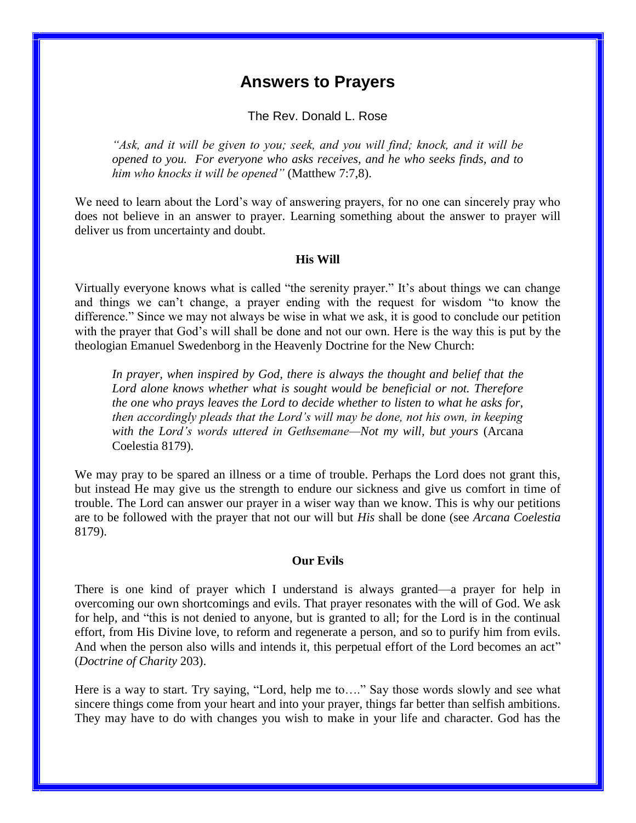# **Answers to Prayers**

The Rev. Donald L. Rose

*"Ask, and it will be given to you; seek, and you will find; knock, and it will be opened to you. For everyone who asks receives, and he who seeks finds, and to him who knocks it will be opened"* (Matthew 7:7,8).

We need to learn about the Lord's way of answering prayers, for no one can sincerely pray who does not believe in an answer to prayer. Learning something about the answer to prayer will deliver us from uncertainty and doubt.

#### **His Will**

Virtually everyone knows what is called "the serenity prayer." It's about things we can change and things we can't change, a prayer ending with the request for wisdom "to know the difference." Since we may not always be wise in what we ask, it is good to conclude our petition with the prayer that God's will shall be done and not our own. Here is the way this is put by the theologian Emanuel Swedenborg in the Heavenly Doctrine for the New Church:

*In prayer, when inspired by God, there is always the thought and belief that the Lord alone knows whether what is sought would be beneficial or not. Therefore the one who prays leaves the Lord to decide whether to listen to what he asks for, then accordingly pleads that the Lord's will may be done, not his own, in keeping with the Lord's words uttered in Gethsemane—Not my will, but yours* (Arcana Coelestia 8179).

We may pray to be spared an illness or a time of trouble. Perhaps the Lord does not grant this, but instead He may give us the strength to endure our sickness and give us comfort in time of trouble. The Lord can answer our prayer in a wiser way than we know. This is why our petitions are to be followed with the prayer that not our will but *His* shall be done (see *Arcana Coelestia* 8179).

#### **Our Evils**

There is one kind of prayer which I understand is always granted—a prayer for help in overcoming our own shortcomings and evils. That prayer resonates with the will of God. We ask for help, and "this is not denied to anyone, but is granted to all; for the Lord is in the continual effort, from His Divine love, to reform and regenerate a person, and so to purify him from evils. And when the person also wills and intends it, this perpetual effort of the Lord becomes an act" (*Doctrine of Charity* 203).

Here is a way to start. Try saying, "Lord, help me to...." Say those words slowly and see what sincere things come from your heart and into your prayer, things far better than selfish ambitions. They may have to do with changes you wish to make in your life and character. God has the